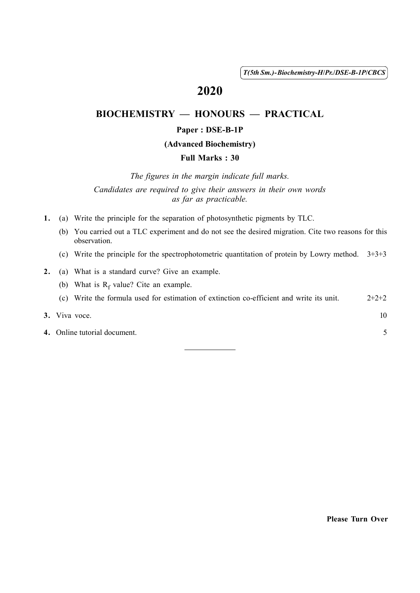( 1 ) *T(5th Sm.)-Biochemistry-H*/*Pr.*/*DSE-B-1P*/*CBCS*

# 2020

## BIOCHEMISTRY — HONOURS — PRACTICAL

### Paper : DSE-B-1P

#### (Advanced Biochemistry)

### Full Marks : 30

*The figures in the margin indicate full marks. Candidates are required to give their answers in their own words as far as practicable.*

- 1. (a) Write the principle for the separation of photosynthetic pigments by TLC.
	- (b) You carried out a TLC experiment and do not see the desired migration. Cite two reasons for this observation.
	- (c) Write the principle for the spectrophotometric quantitation of protein by Lowry method. 3+3+3
- 2. (a) What is a standard curve? Give an example.
	- (b) What is  $R_f$  value? Cite an example.
	- (c) Write the formula used for estimation of extinction co-efficient and write its unit.  $2+2+2$

### 3. Viva voce.  $10$

4. Online tutorial document. 5

Please Turn Over